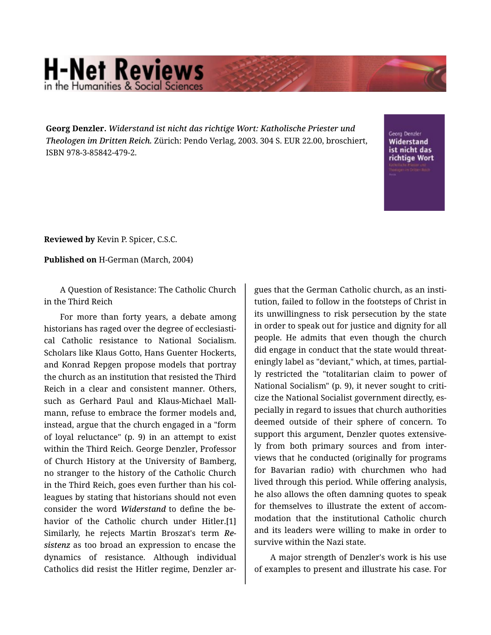## **H-Net Reviews** in the Humanities & Social Scienc

**Georg Denzler.** *Widerstand ist nicht das richtige Wort: Katholische Priester und Theologen im Dritten Reich.* Zürich: Pendo Verlag, 2003. 304 S. EUR 22.00, broschiert, ISBN 978-3-85842-479-2.

**Georg Denzler** Widerstand ist nicht das richtige Wort

**Reviewed by** Kevin P. Spicer, C.S.C.

**Published on** H-German (March, 2004)

A Question of Resistance: The Catholic Church in the Third Reich

For more than forty years, a debate among historians has raged over the degree of ecclesiasti‐ cal Catholic resistance to National Socialism. Scholars like Klaus Gotto, Hans Guenter Hockerts, and Konrad Repgen propose models that portray the church as an institution that resisted the Third Reich in a clear and consistent manner. Others, such as Gerhard Paul and Klaus-Michael Mall‐ mann, refuse to embrace the former models and, instead, argue that the church engaged in a "form of loyal reluctance" (p. 9) in an attempt to exist within the Third Reich. George Denzler, Professor of Church History at the University of Bamberg, no stranger to the history of the Catholic Church in the Third Reich, goes even further than his col‐ leagues by stating that historians should not even consider the word *Widerstand* to define the be‐ havior of the Catholic church under Hitler.[1] Similarly, he rejects Martin Broszat's term *Re‐ sistenz* as too broad an expression to encase the dynamics of resistance. Although individual Catholics did resist the Hitler regime, Denzler ar‐

gues that the German Catholic church, as an insti‐ tution, failed to follow in the footsteps of Christ in its unwillingness to risk persecution by the state in order to speak out for justice and dignity for all people. He admits that even though the church did engage in conduct that the state would threat‐ eningly label as "deviant," which, at times, partial‐ ly restricted the "totalitarian claim to power of National Socialism" (p. 9), it never sought to criti‐ cize the National Socialist government directly, es‐ pecially in regard to issues that church authorities deemed outside of their sphere of concern. To support this argument, Denzler quotes extensive‐ ly from both primary sources and from inter‐ views that he conducted (originally for programs for Bavarian radio) with churchmen who had lived through this period. While offering analysis, he also allows the often damning quotes to speak for themselves to illustrate the extent of accom‐ modation that the institutional Catholic church and its leaders were willing to make in order to survive within the Nazi state.

A major strength of Denzler's work is his use of examples to present and illustrate his case. For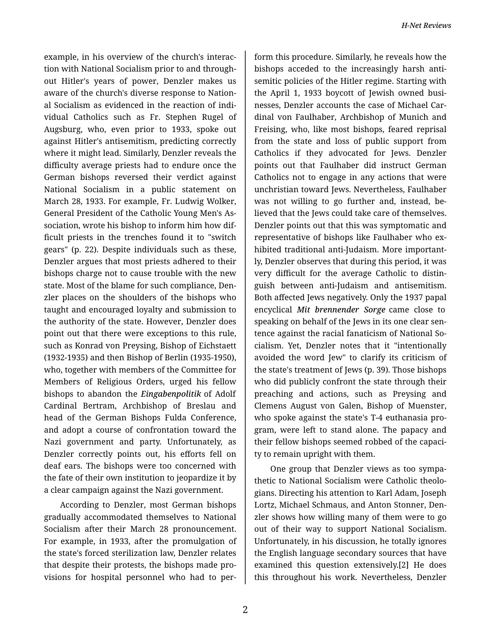example, in his overview of the church's interac‐ tion with National Socialism prior to and through‐ out Hitler's years of power, Denzler makes us aware of the church's diverse response to Nation‐ al Socialism as evidenced in the reaction of indi‐ vidual Catholics such as Fr. Stephen Rugel of Augsburg, who, even prior to 1933, spoke out against Hitler's antisemitism, predicting correctly where it might lead. Similarly, Denzler reveals the difficulty average priests had to endure once the German bishops reversed their verdict against National Socialism in a public statement on March 28, 1933. For example, Fr. Ludwig Wolker, General President of the Catholic Young Men's As‐ sociation, wrote his bishop to inform him how dif‐ ficult priests in the trenches found it to "switch gears" (p. 22). Despite individuals such as these, Denzler argues that most priests adhered to their bishops charge not to cause trouble with the new state. Most of the blame for such compliance, Den‐ zler places on the shoulders of the bishops who taught and encouraged loyalty and submission to the authority of the state. However, Denzler does point out that there were exceptions to this rule, such as Konrad von Preysing, Bishop of Eichstaett (1932-1935) and then Bishop of Berlin (1935-1950), who, together with members of the Committee for Members of Religious Orders, urged his fellow bishops to abandon the *Eingabenpolitik* of Adolf Cardinal Bertram, Archbishop of Breslau and head of the German Bishops Fulda Conference, and adopt a course of confrontation toward the Nazi government and party. Unfortunately, as Denzler correctly points out, his efforts fell on deaf ears. The bishops were too concerned with the fate of their own institution to jeopardize it by a clear campaign against the Nazi government.

According to Denzler, most German bishops gradually accommodated themselves to National Socialism after their March 28 pronouncement. For example, in 1933, after the promulgation of the state's forced sterilization law, Denzler relates that despite their protests, the bishops made pro‐ visions for hospital personnel who had to per‐

form this procedure. Similarly, he reveals how the bishops acceded to the increasingly harsh anti‐ semitic policies of the Hitler regime. Starting with the April 1, 1933 boycott of Jewish owned busi‐ nesses, Denzler accounts the case of Michael Car‐ dinal von Faulhaber, Archbishop of Munich and Freising, who, like most bishops, feared reprisal from the state and loss of public support from Catholics if they advocated for Jews. Denzler points out that Faulhaber did instruct German Catholics not to engage in any actions that were unchristian toward Jews. Nevertheless, Faulhaber was not willing to go further and, instead, be‐ lieved that the Jews could take care of themselves. Denzler points out that this was symptomatic and representative of bishops like Faulhaber who ex‐ hibited traditional anti-Judaism. More important‐ ly, Denzler observes that during this period, it was very difficult for the average Catholic to distin‐ guish between anti-Judaism and antisemitism. Both affected Jews negatively. Only the 1937 papal encyclical *Mit brennender Sorge* came close to speaking on behalf of the Jews in its one clear sen‐ tence against the racial fanaticism of National So‐ cialism. Yet, Denzler notes that it "intentionally avoided the word Jew" to clarify its criticism of the state's treatment of Jews (p. 39). Those bishops who did publicly confront the state through their preaching and actions, such as Preysing and Clemens August von Galen, Bishop of Muenster, who spoke against the state's T-4 euthanasia pro‐ gram, were left to stand alone. The papacy and their fellow bishops seemed robbed of the capaci‐ ty to remain upright with them.

One group that Denzler views as too sympa‐ thetic to National Socialism were Catholic theolo‐ gians. Directing his attention to Karl Adam, Joseph Lortz, Michael Schmaus, and Anton Stonner, Den‐ zler shows how willing many of them were to go out of their way to support National Socialism. Unfortunately, in his discussion, he totally ignores the English language secondary sources that have examined this question extensively.[2] He does this throughout his work. Nevertheless, Denzler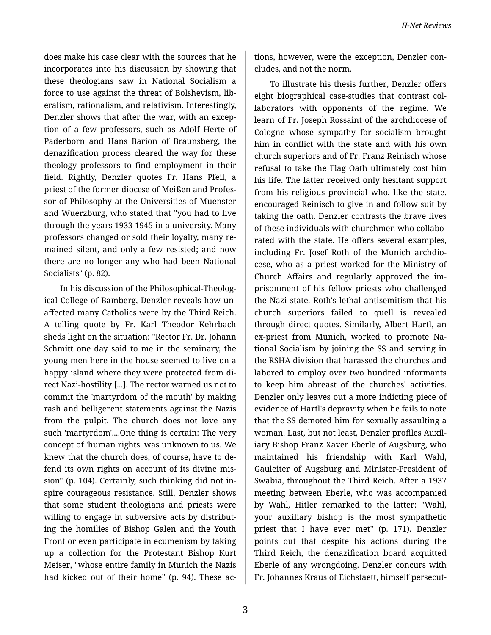does make his case clear with the sources that he incorporates into his discussion by showing that these theologians saw in National Socialism a force to use against the threat of Bolshevism, lib‐ eralism, rationalism, and relativism. Interestingly, Denzler shows that after the war, with an excep‐ tion of a few professors, such as Adolf Herte of Paderborn and Hans Barion of Braunsberg, the denazification process cleared the way for these theology professors to find employment in their field. Rightly, Denzler quotes Fr. Hans Pfeil, a priest of the former diocese of Meißen and Profes‐ sor of Philosophy at the Universities of Muenster and Wuerzburg, who stated that "you had to live through the years 1933-1945 in a university. Many professors changed or sold their loyalty, many re‐ mained silent, and only a few resisted; and now there are no longer any who had been National Socialists" (p. 82).

In his discussion of the Philosophical-Theolog‐ ical College of Bamberg, Denzler reveals how un‐ affected many Catholics were by the Third Reich. A telling quote by Fr. Karl Theodor Kehrbach sheds light on the situation: "Rector Fr. Dr. Johann Schmitt one day said to me in the seminary, the young men here in the house seemed to live on a happy island where they were protected from di‐ rect Nazi-hostility [...]. The rector warned us not to commit the 'martyrdom of the mouth' by making rash and belligerent statements against the Nazis from the pulpit. The church does not love any such 'martyrdom'....One thing is certain: The very concept of 'human rights' was unknown to us. We knew that the church does, of course, have to de‐ fend its own rights on account of its divine mis‐ sion" (p. 104). Certainly, such thinking did not in‐ spire courageous resistance. Still, Denzler shows that some student theologians and priests were willing to engage in subversive acts by distribut‐ ing the homilies of Bishop Galen and the Youth Front or even participate in ecumenism by taking up a collection for the Protestant Bishop Kurt Meiser, "whose entire family in Munich the Nazis had kicked out of their home" (p. 94). These ac‐

tions, however, were the exception, Denzler con‐ cludes, and not the norm.

To illustrate his thesis further, Denzler offers eight biographical case-studies that contrast col‐ laborators with opponents of the regime. We learn of Fr. Joseph Rossaint of the archdiocese of Cologne whose sympathy for socialism brought him in conflict with the state and with his own church superiors and of Fr. Franz Reinisch whose refusal to take the Flag Oath ultimately cost him his life. The latter received only hesitant support from his religious provincial who, like the state. encouraged Reinisch to give in and follow suit by taking the oath. Denzler contrasts the brave lives of these individuals with churchmen who collabo‐ rated with the state. He offers several examples, including Fr. Josef Roth of the Munich archdio‐ cese, who as a priest worked for the Ministry of Church Affairs and regularly approved the im‐ prisonment of his fellow priests who challenged the Nazi state. Roth's lethal antisemitism that his church superiors failed to quell is revealed through direct quotes. Similarly, Albert Hartl, an ex-priest from Munich, worked to promote Na‐ tional Socialism by joining the SS and serving in the RSHA division that harassed the churches and labored to employ over two hundred informants to keep him abreast of the churches' activities. Denzler only leaves out a more indicting piece of evidence of Hartl's depravity when he fails to note that the SS demoted him for sexually assaulting a woman. Last, but not least, Denzler profiles Auxil‐ iary Bishop Franz Xaver Eberle of Augsburg, who maintained his friendship with Karl Wahl, Gauleiter of Augsburg and Minister-President of Swabia, throughout the Third Reich. After a 1937 meeting between Eberle, who was accompanied by Wahl, Hitler remarked to the latter: "Wahl, your auxiliary bishop is the most sympathetic priest that I have ever met" (p. 171). Denzler points out that despite his actions during the Third Reich, the denazification board acquitted Eberle of any wrongdoing. Denzler concurs with Fr. Johannes Kraus of Eichstaett, himself persecut‐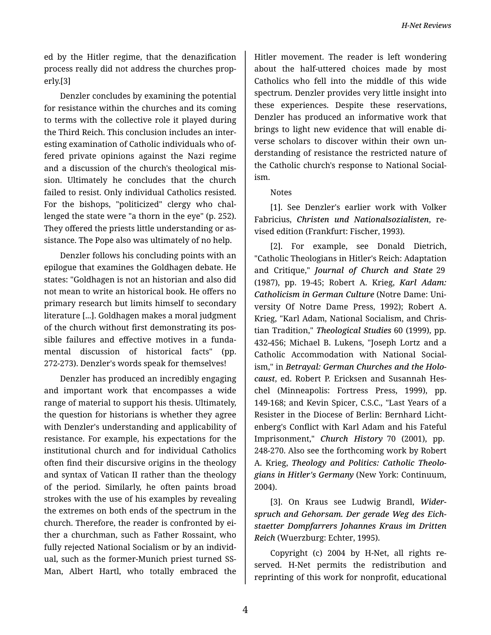ed by the Hitler regime, that the denazification process really did not address the churches prop‐ erly.[3]

Denzler concludes by examining the potential for resistance within the churches and its coming to terms with the collective role it played during the Third Reich. This conclusion includes an inter‐ esting examination of Catholic individuals who of‐ fered private opinions against the Nazi regime and a discussion of the church's theological mis‐ sion. Ultimately he concludes that the church failed to resist. Only individual Catholics resisted. For the bishops, "politicized" clergy who chal‐ lenged the state were "a thorn in the eye" (p. 252). They offered the priests little understanding or as‐ sistance. The Pope also was ultimately of no help.

Denzler follows his concluding points with an epilogue that examines the Goldhagen debate. He states: "Goldhagen is not an historian and also did not mean to write an historical book. He offers no primary research but limits himself to secondary literature [...]. Goldhagen makes a moral judgment of the church without first demonstrating its pos‐ sible failures and effective motives in a funda‐ mental discussion of historical facts" (pp. 272-273). Denzler's words speak for themselves!

Denzler has produced an incredibly engaging and important work that encompasses a wide range of material to support his thesis. Ultimately, the question for historians is whether they agree with Denzler's understanding and applicability of resistance. For example, his expectations for the institutional church and for individual Catholics often find their discursive origins in the theology and syntax of Vatican II rather than the theology of the period. Similarly, he often paints broad strokes with the use of his examples by revealing the extremes on both ends of the spectrum in the church. Therefore, the reader is confronted by ei‐ ther a churchman, such as Father Rossaint, who fully rejected National Socialism or by an individ‐ ual, such as the former-Munich priest turned SS-Man, Albert Hartl, who totally embraced the

Hitler movement. The reader is left wondering about the half-uttered choices made by most Catholics who fell into the middle of this wide spectrum. Denzler provides very little insight into these experiences. Despite these reservations, Denzler has produced an informative work that brings to light new evidence that will enable di‐ verse scholars to discover within their own un‐ derstanding of resistance the restricted nature of the Catholic church's response to National Social‐ ism.

## Notes

[1]. See Denzler's earlier work with Volker Fabricius, *Christen und Nationalsozialisten*, re‐ vised edition (Frankfurt: Fischer, 1993).

[2]. For example, see Donald Dietrich, "Catholic Theologians in Hitler's Reich: Adaptation and Critique," *Journal of Church and State* 29 (1987), pp. 19-45; Robert A. Krieg, *Karl Adam: Catholicism in German Culture* (Notre Dame: Uni‐ versity Of Notre Dame Press, 1992); Robert A. Krieg, "Karl Adam, National Socialism, and Chris‐ tian Tradition," *Theological Studies* 60 (1999), pp. 432-456; Michael B. Lukens, "Joseph Lortz and a Catholic Accommodation with National Social‐ ism," in *Betrayal: German Churches and the Holo‐ caust*, ed. Robert P. Ericksen and Susannah Hes‐ chel (Minneapolis: Fortress Press, 1999), pp. 149-168; and Kevin Spicer, C.S.C., "Last Years of a Resister in the Diocese of Berlin: Bernhard Licht‐ enberg's Conflict with Karl Adam and his Fateful Imprisonment," *Church History* 70 (2001), pp. 248-270. Also see the forthcoming work by Robert A. Krieg, *Theology and Politics: Catholic Theolo‐ gians in Hitler's Germany* (New York: Continuum, 2004).

[3]. On Kraus see Ludwig Brandl, *Wider‐ spruch and Gehorsam. Der gerade Weg des Eich‐ staetter Dompfarrers Johannes Kraus im Dritten Reich* (Wuerzburg: Echter, 1995).

Copyright (c) 2004 by H-Net, all rights re‐ served. H-Net permits the redistribution and reprinting of this work for nonprofit, educational